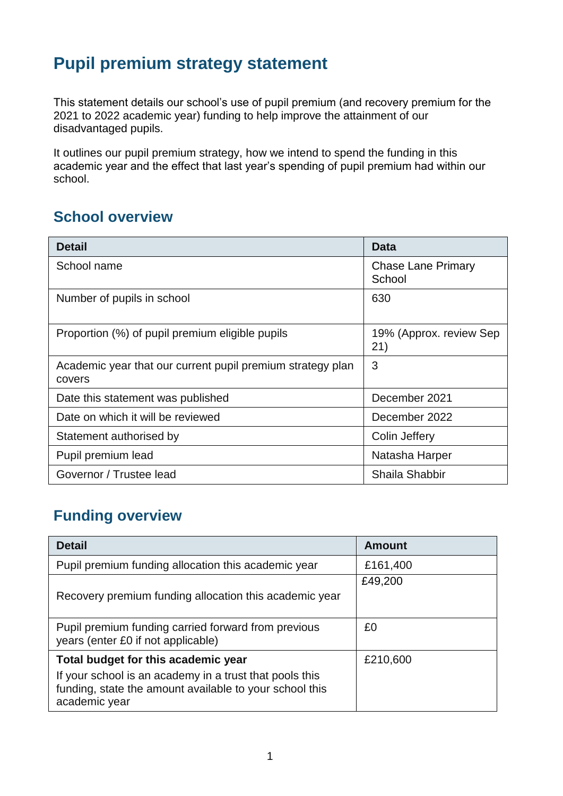## **Pupil premium strategy statement**

This statement details our school's use of pupil premium (and recovery premium for the 2021 to 2022 academic year) funding to help improve the attainment of our disadvantaged pupils.

It outlines our pupil premium strategy, how we intend to spend the funding in this academic year and the effect that last year's spending of pupil premium had within our school.

### **School overview**

| <b>Detail</b>                                                        | <b>Data</b>                    |
|----------------------------------------------------------------------|--------------------------------|
| School name                                                          | Chase Lane Primary<br>School   |
| Number of pupils in school                                           | 630                            |
| Proportion (%) of pupil premium eligible pupils                      | 19% (Approx. review Sep<br>21) |
| Academic year that our current pupil premium strategy plan<br>covers | 3                              |
| Date this statement was published                                    | December 2021                  |
| Date on which it will be reviewed                                    | December 2022                  |
| Statement authorised by                                              | Colin Jeffery                  |
| Pupil premium lead                                                   | Natasha Harper                 |
| Governor / Trustee lead                                              | Shaila Shabbir                 |

## **Funding overview**

| <b>Detail</b>                                                                                                                       | Amount   |
|-------------------------------------------------------------------------------------------------------------------------------------|----------|
| Pupil premium funding allocation this academic year                                                                                 | £161,400 |
|                                                                                                                                     | £49,200  |
| Recovery premium funding allocation this academic year                                                                              |          |
| Pupil premium funding carried forward from previous<br>years (enter £0 if not applicable)                                           | £0       |
| Total budget for this academic year                                                                                                 | £210,600 |
| If your school is an academy in a trust that pools this<br>funding, state the amount available to your school this<br>academic year |          |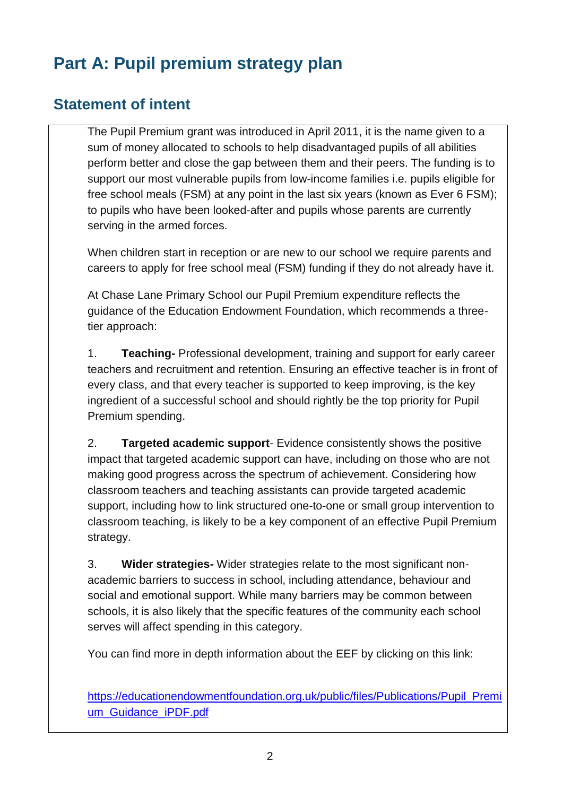# **Part A: Pupil premium strategy plan**

### **Statement of intent**

The Pupil Premium grant was introduced in April 2011, it is the name given to a sum of money allocated to schools to help disadvantaged pupils of all abilities perform better and close the gap between them and their peers. The funding is to support our most vulnerable pupils from low-income families i.e. pupils eligible for free school meals (FSM) at any point in the last six years (known as Ever 6 FSM); to pupils who have been looked-after and pupils whose parents are currently serving in the armed forces.

When children start in reception or are new to our school we require parents and careers to apply for free school meal (FSM) funding if they do not already have it.

At Chase Lane Primary School our Pupil Premium expenditure reflects the guidance of the Education Endowment Foundation, which recommends a threetier approach:

1. **Teaching-** Professional development, training and support for early career teachers and recruitment and retention. Ensuring an effective teacher is in front of every class, and that every teacher is supported to keep improving, is the key ingredient of a successful school and should rightly be the top priority for Pupil Premium spending.

2. **Targeted academic support**- Evidence consistently shows the positive impact that targeted academic support can have, including on those who are not making good progress across the spectrum of achievement. Considering how classroom teachers and teaching assistants can provide targeted academic support, including how to link structured one-to-one or small group intervention to classroom teaching, is likely to be a key component of an effective Pupil Premium strategy.

3. **Wider strategies-** Wider strategies relate to the most significant nonacademic barriers to success in school, including attendance, behaviour and social and emotional support. While many barriers may be common between schools, it is also likely that the specific features of the community each school serves will affect spending in this category.

You can find more in depth information about the EEF by clicking on this link:

[https://educationendowmentfoundation.org.uk/public/files/Publications/Pupil\\_Premi](https://educationendowmentfoundation.org.uk/public/files/Publications/Pupil_Premium_Guidance_iPDF.pdf) [um\\_Guidance\\_iPDF.pdf](https://educationendowmentfoundation.org.uk/public/files/Publications/Pupil_Premium_Guidance_iPDF.pdf)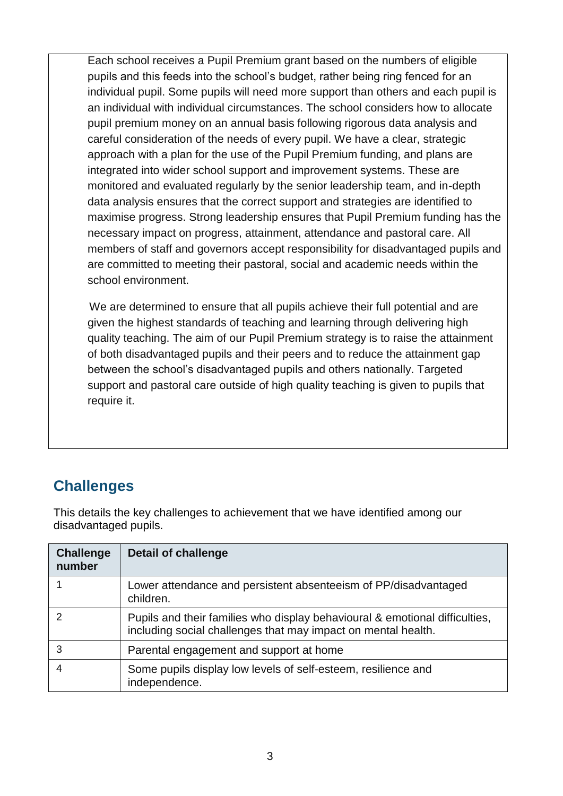Each school receives a Pupil Premium grant based on the numbers of eligible pupils and this feeds into the school's budget, rather being ring fenced for an individual pupil. Some pupils will need more support than others and each pupil is an individual with individual circumstances. The school considers how to allocate pupil premium money on an annual basis following rigorous data analysis and careful consideration of the needs of every pupil. We have a clear, strategic approach with a plan for the use of the Pupil Premium funding, and plans are integrated into wider school support and improvement systems. These are monitored and evaluated regularly by the senior leadership team, and in-depth data analysis ensures that the correct support and strategies are identified to maximise progress. Strong leadership ensures that Pupil Premium funding has the necessary impact on progress, attainment, attendance and pastoral care. All members of staff and governors accept responsibility for disadvantaged pupils and are committed to meeting their pastoral, social and academic needs within the school environment.

 We are determined to ensure that all pupils achieve their full potential and are given the highest standards of teaching and learning through delivering high quality teaching. The aim of our Pupil Premium strategy is to raise the attainment of both disadvantaged pupils and their peers and to reduce the attainment gap between the school's disadvantaged pupils and others nationally. Targeted support and pastoral care outside of high quality teaching is given to pupils that require it.

## **Challenges**

This details the key challenges to achievement that we have identified among our disadvantaged pupils.

| <b>Challenge</b><br>number | <b>Detail of challenge</b>                                                                                                                   |
|----------------------------|----------------------------------------------------------------------------------------------------------------------------------------------|
|                            | Lower attendance and persistent absenteeism of PP/disadvantaged<br>children.                                                                 |
|                            | Pupils and their families who display behavioural & emotional difficulties,<br>including social challenges that may impact on mental health. |
| 3                          | Parental engagement and support at home                                                                                                      |
|                            | Some pupils display low levels of self-esteem, resilience and<br>independence.                                                               |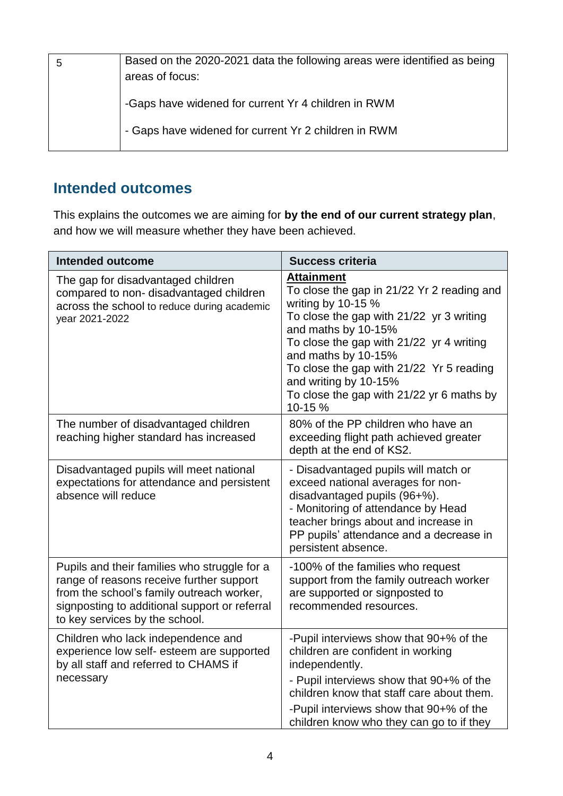| Based on the 2020-2021 data the following areas were identified as being<br>areas of focus: |
|---------------------------------------------------------------------------------------------|
| -Gaps have widened for current Yr 4 children in RWM                                         |
| - Gaps have widened for current Yr 2 children in RWM                                        |

## **Intended outcomes**

This explains the outcomes we are aiming for **by the end of our current strategy plan**, and how we will measure whether they have been achieved.

| <b>Intended outcome</b>                                                                                                                                                                                                  | <b>Success criteria</b>                                                                                                                                                                                                                                                                                                                                  |
|--------------------------------------------------------------------------------------------------------------------------------------------------------------------------------------------------------------------------|----------------------------------------------------------------------------------------------------------------------------------------------------------------------------------------------------------------------------------------------------------------------------------------------------------------------------------------------------------|
| The gap for disadvantaged children<br>compared to non-disadvantaged children<br>across the school to reduce during academic<br>year 2021-2022                                                                            | <b>Attainment</b><br>To close the gap in 21/22 Yr 2 reading and<br>writing by 10-15 %<br>To close the gap with 21/22 yr 3 writing<br>and maths by 10-15%<br>To close the gap with 21/22 yr 4 writing<br>and maths by 10-15%<br>To close the gap with 21/22 Yr 5 reading<br>and writing by 10-15%<br>To close the gap with 21/22 yr 6 maths by<br>10-15 % |
| The number of disadvantaged children<br>reaching higher standard has increased                                                                                                                                           | 80% of the PP children who have an<br>exceeding flight path achieved greater<br>depth at the end of KS2.                                                                                                                                                                                                                                                 |
| Disadvantaged pupils will meet national<br>expectations for attendance and persistent<br>absence will reduce                                                                                                             | - Disadvantaged pupils will match or<br>exceed national averages for non-<br>disadvantaged pupils (96+%).<br>- Monitoring of attendance by Head<br>teacher brings about and increase in<br>PP pupils' attendance and a decrease in<br>persistent absence.                                                                                                |
| Pupils and their families who struggle for a<br>range of reasons receive further support<br>from the school's family outreach worker,<br>signposting to additional support or referral<br>to key services by the school. | -100% of the families who request<br>support from the family outreach worker<br>are supported or signposted to<br>recommended resources.                                                                                                                                                                                                                 |
| Children who lack independence and<br>experience low self- esteem are supported<br>by all staff and referred to CHAMS if<br>necessary                                                                                    | -Pupil interviews show that 90+% of the<br>children are confident in working<br>independently.<br>- Pupil interviews show that 90+% of the<br>children know that staff care about them.<br>-Pupil interviews show that 90+% of the<br>children know who they can go to if they                                                                           |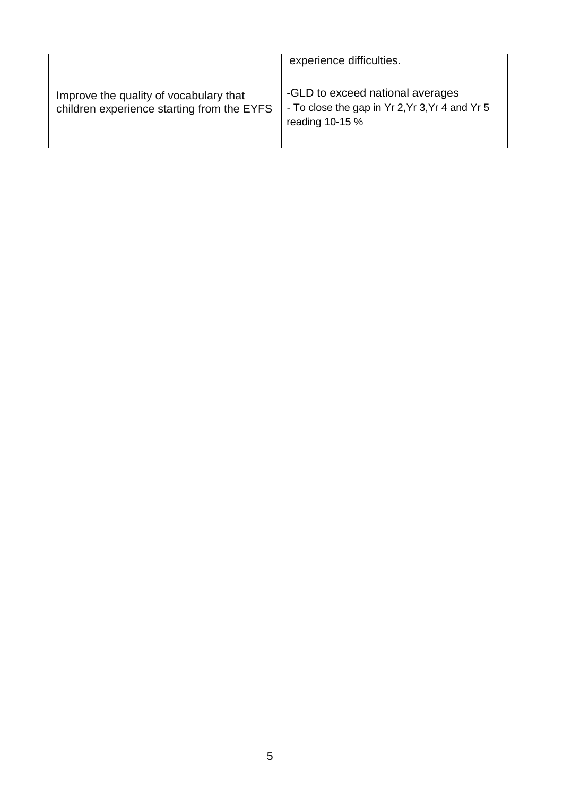|                                                                                      | experience difficulties.                                                                               |
|--------------------------------------------------------------------------------------|--------------------------------------------------------------------------------------------------------|
| Improve the quality of vocabulary that<br>children experience starting from the EYFS | -GLD to exceed national averages<br>- To close the gap in Yr 2, Yr 3, Yr 4 and Yr 5<br>reading 10-15 % |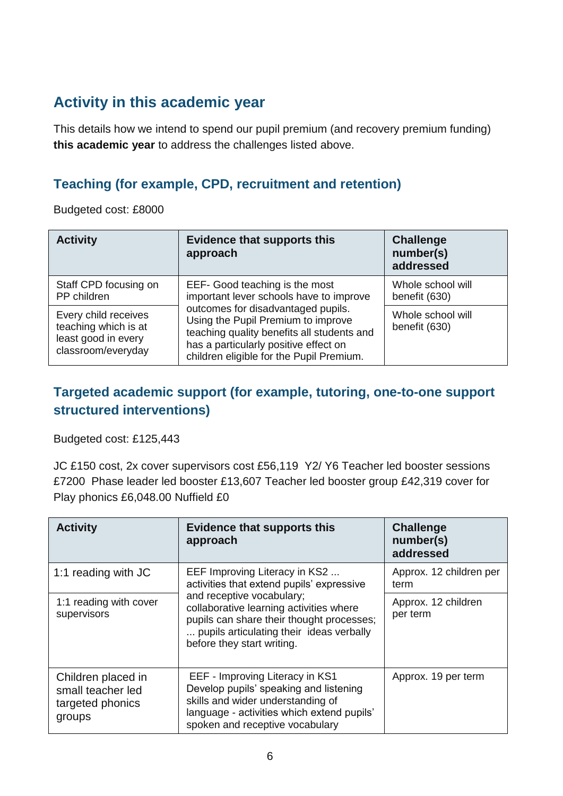## **Activity in this academic year**

This details how we intend to spend our pupil premium (and recovery premium funding) **this academic year** to address the challenges listed above.

### **Teaching (for example, CPD, recruitment and retention)**

Budgeted cost: £8000

| <b>Activity</b>                                                                           | <b>Evidence that supports this</b><br>approach                                                                                                                                                              | <b>Challenge</b><br>number(s)<br>addressed |  |
|-------------------------------------------------------------------------------------------|-------------------------------------------------------------------------------------------------------------------------------------------------------------------------------------------------------------|--------------------------------------------|--|
| Staff CPD focusing on<br>PP children                                                      | EEF- Good teaching is the most<br>important lever schools have to improve                                                                                                                                   | Whole school will<br>benefit (630)         |  |
| Every child receives<br>teaching which is at<br>least good in every<br>classroom/everyday | outcomes for disadvantaged pupils.<br>Using the Pupil Premium to improve<br>teaching quality benefits all students and<br>has a particularly positive effect on<br>children eligible for the Pupil Premium. | Whole school will<br>benefit (630)         |  |

### **Targeted academic support (for example, tutoring, one-to-one support structured interventions)**

Budgeted cost: £125,443

JC £150 cost, 2x cover supervisors cost £56,119 Y2/ Y6 Teacher led booster sessions £7200 Phase leader led booster £13,607 Teacher led booster group £42,319 cover for Play phonics £6,048.00 Nuffield £0

| <b>Activity</b>                                                       | <b>Evidence that supports this</b><br>approach                                                                                                                                                  | <b>Challenge</b><br>number(s)<br>addressed |
|-----------------------------------------------------------------------|-------------------------------------------------------------------------------------------------------------------------------------------------------------------------------------------------|--------------------------------------------|
| 1:1 reading with JC                                                   | EEF Improving Literacy in KS2<br>activities that extend pupils' expressive                                                                                                                      | Approx. 12 children per<br>term            |
| 1:1 reading with cover<br>supervisors                                 | and receptive vocabulary;<br>collaborative learning activities where<br>pupils can share their thought processes;<br>pupils articulating their ideas verbally<br>before they start writing.     | Approx. 12 children<br>per term            |
| Children placed in<br>small teacher led<br>targeted phonics<br>groups | EEF - Improving Literacy in KS1<br>Develop pupils' speaking and listening<br>skills and wider understanding of<br>language - activities which extend pupils'<br>spoken and receptive vocabulary | Approx. 19 per term                        |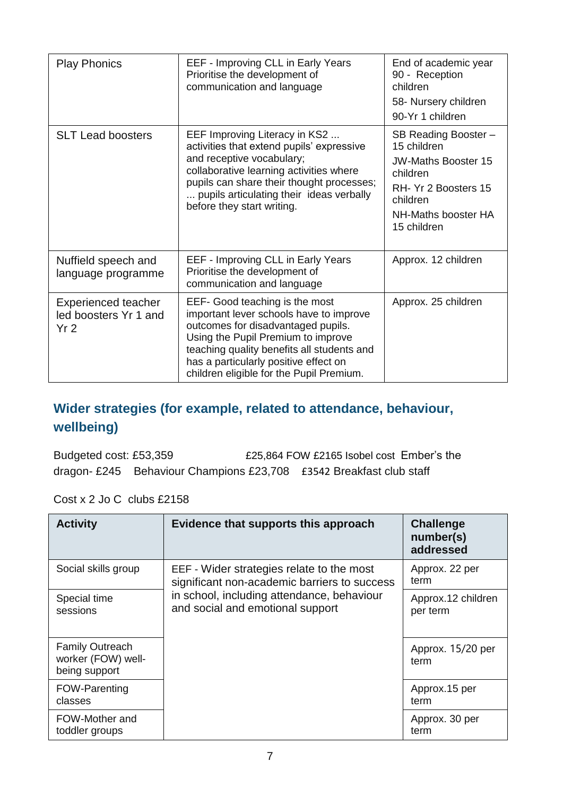| <b>Play Phonics</b>                                                    | EEF - Improving CLL in Early Years<br>Prioritise the development of<br>communication and language                                                                                                                                                                                        | End of academic year<br>90 - Reception<br>children<br>58- Nursery children<br>90-Yr 1 children                                                          |
|------------------------------------------------------------------------|------------------------------------------------------------------------------------------------------------------------------------------------------------------------------------------------------------------------------------------------------------------------------------------|---------------------------------------------------------------------------------------------------------------------------------------------------------|
| <b>SLT Lead boosters</b>                                               | EEF Improving Literacy in KS2<br>activities that extend pupils' expressive<br>and receptive vocabulary;<br>collaborative learning activities where<br>pupils can share their thought processes;<br>pupils articulating their ideas verbally<br>before they start writing.                | SB Reading Booster -<br>15 children<br><b>JW-Maths Booster 15</b><br>children<br>RH- Yr 2 Boosters 15<br>children<br>NH-Maths booster HA<br>15 children |
| Nuffield speech and<br>language programme                              | EEF - Improving CLL in Early Years<br>Prioritise the development of<br>communication and language                                                                                                                                                                                        | Approx. 12 children                                                                                                                                     |
| <b>Experienced teacher</b><br>led boosters Yr 1 and<br>Yr <sub>2</sub> | EEF- Good teaching is the most<br>important lever schools have to improve<br>outcomes for disadvantaged pupils.<br>Using the Pupil Premium to improve<br>teaching quality benefits all students and<br>has a particularly positive effect on<br>children eligible for the Pupil Premium. | Approx. 25 children                                                                                                                                     |

### **Wider strategies (for example, related to attendance, behaviour, wellbeing)**

Budgeted cost: £53,359 **£25,864 FOW £2165 Isobel cost Ember's the** dragon- £245 Behaviour Champions £23,708 £3542 Breakfast club staff

Cost x 2 Jo C clubs £2158

| <b>Activity</b>                                               | Evidence that supports this approach                                                                                                                                        | <b>Challenge</b><br>number(s)<br>addressed |
|---------------------------------------------------------------|-----------------------------------------------------------------------------------------------------------------------------------------------------------------------------|--------------------------------------------|
| Social skills group                                           | EEF - Wider strategies relate to the most<br>significant non-academic barriers to success<br>in school, including attendance, behaviour<br>and social and emotional support | Approx. 22 per<br>term                     |
| Special time<br>sessions                                      |                                                                                                                                                                             | Approx.12 children<br>per term             |
| <b>Family Outreach</b><br>worker (FOW) well-<br>being support |                                                                                                                                                                             | Approx. 15/20 per<br>term                  |
| FOW-Parenting<br>classes                                      |                                                                                                                                                                             | Approx.15 per<br>term                      |
| FOW-Mother and<br>toddler groups                              |                                                                                                                                                                             | Approx. 30 per<br>term                     |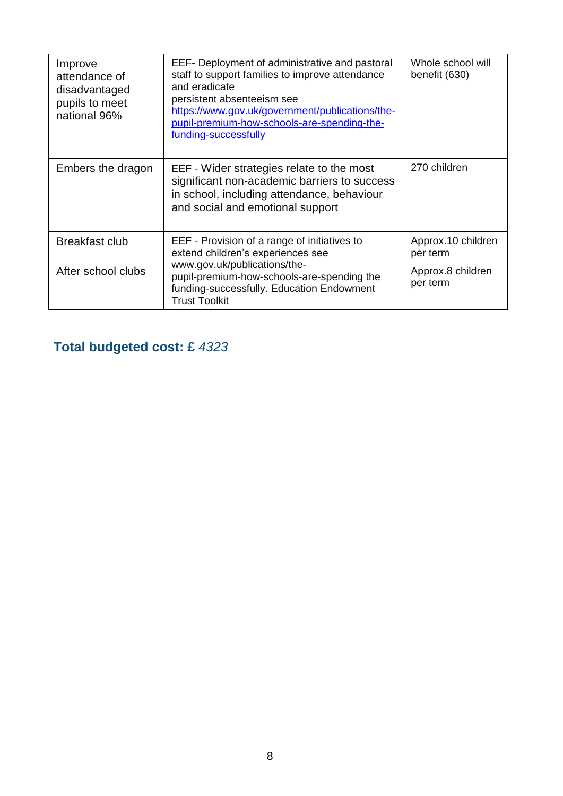| Improve<br>attendance of<br>disadvantaged<br>pupils to meet<br>national 96% | EEF- Deployment of administrative and pastoral<br>staff to support families to improve attendance<br>and eradicate<br>persistent absenteeism see<br>https://www.gov.uk/government/publications/the-<br>pupil-premium-how-schools-are-spending-the-<br>funding-successfully | Whole school will<br>benefit (630) |
|-----------------------------------------------------------------------------|----------------------------------------------------------------------------------------------------------------------------------------------------------------------------------------------------------------------------------------------------------------------------|------------------------------------|
| Embers the dragon                                                           | EEF - Wider strategies relate to the most<br>significant non-academic barriers to success<br>in school, including attendance, behaviour<br>and social and emotional support                                                                                                | 270 children                       |
| <b>Breakfast club</b>                                                       | EEF - Provision of a range of initiatives to<br>extend children's experiences see                                                                                                                                                                                          | Approx.10 children<br>per term     |
| After school clubs                                                          | www.gov.uk/publications/the-<br>pupil-premium-how-schools-are-spending the<br>funding-successfully. Education Endowment<br><b>Trust Toolkit</b>                                                                                                                            | Approx.8 children<br>per term      |

## **Total budgeted cost: £** *4323*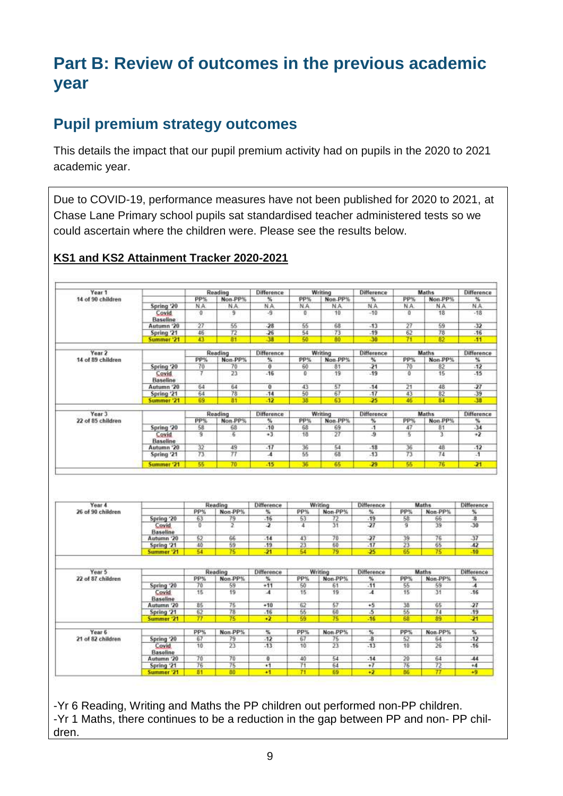# **Part B: Review of outcomes in the previous academic year**

## **Pupil premium strategy outcomes**

This details the impact that our pupil premium activity had on pupils in the 2020 to 2021 academic year.

Due to COVID-19, performance measures have not been published for 2020 to 2021, at Chase Lane Primary school pupils sat standardised teacher administered tests so we could ascertain where the children were. Please see the results below.

#### **KS1 and KS2 Attainment Tracker 2020-2021**

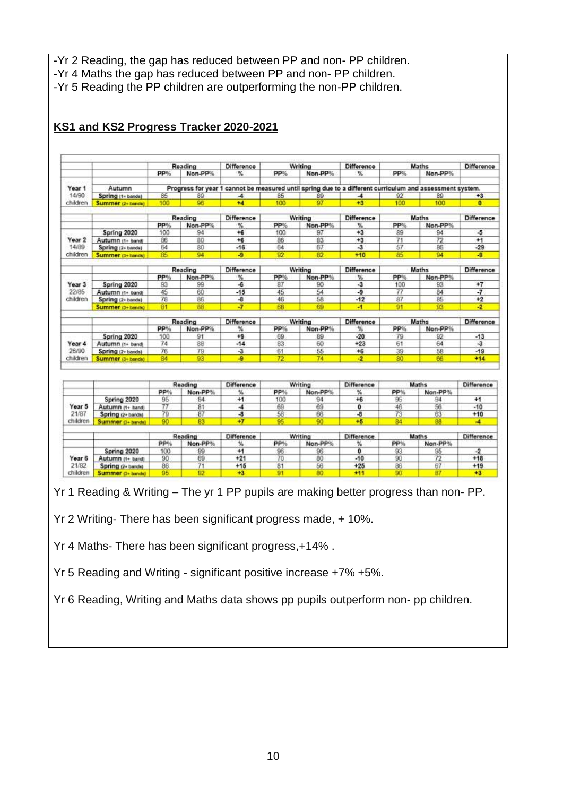-Yr 2 Reading, the gap has reduced between PP and non- PP children. -Yr 4 Maths the gap has reduced between PP and non- PP children. -Yr 5 Reading the PP children are outperforming the non-PP children.

|                 |                                        |           | Reading       | Difference                                                                                               |            | Writing       | Difference                   | Maths    |                | Difference              |  |
|-----------------|----------------------------------------|-----------|---------------|----------------------------------------------------------------------------------------------------------|------------|---------------|------------------------------|----------|----------------|-------------------------|--|
|                 |                                        | PP%       | Non-PP%       | 蚯                                                                                                        | PP%        | Non-PP%       | ₩                            | PP%      | Non-PP%        |                         |  |
| Year 1          | Autumn                                 |           |               | Progress for year 1 cannot be measured until spring due to a different curriculum and assessment system. |            |               |                              |          |                |                         |  |
| 14/90           | Spring (1+ bands)                      | 85        | 89            | $\blacktriangle$                                                                                         | 85         | 89            | $\blacktriangle$             | 92       | 89             | $+3$                    |  |
| children        | Summer (2+ banda)                      | 100       | 96            | $+4$                                                                                                     | 100        | 97            | $+3$                         | 100      | 100            | $\bullet$               |  |
|                 |                                        |           |               |                                                                                                          |            |               |                              |          |                |                         |  |
|                 |                                        |           | Reading       | <b>Difference</b>                                                                                        |            | Writing       | <b>Difference</b>            |          | Maths          | Difference              |  |
|                 |                                        | PP%       | Non-PP%       | %                                                                                                        | PP%        | Non-PP%       | $\frac{2}{3}$                | PP%      | Non-PP%        |                         |  |
|                 | Spring 2020                            | 100       | 94            | $+6$                                                                                                     | 100        | 97            | $+3$                         | 89       | 94             | -5                      |  |
| Year 2          | Autumn (1+ band)                       | 86        | 80            | $+6$                                                                                                     | 86         | 83            | $+3$                         | 71       | 72             | $+1$                    |  |
| 14/89           | Spring (2+ bands)                      | 64        | 80            | $-16$                                                                                                    | 64         | 67            | $\overline{3}$               | 57       | B <sub>6</sub> | $-29$                   |  |
| children        | Summer (3+ bands)                      | 85        | 94            | -9                                                                                                       | 92         | 82            | $+10$                        | 85       | 94             | -9                      |  |
|                 |                                        |           | Reading       | <b>Difference</b>                                                                                        |            |               | <b>Difference</b>            |          | Maths          | Difference              |  |
|                 |                                        |           |               |                                                                                                          |            | Writing       |                              | PP%      |                |                         |  |
| Year 3          |                                        | PP%<br>93 | Non-PP%<br>99 | %<br>-6                                                                                                  | PP%<br>87  | Non-PP%<br>90 | %<br>$\overline{\mathbf{3}}$ | 100      | Non-PP%<br>93  | $+7$                    |  |
| 22/85           | Spring 2020                            | 45        | 60            | $-15$                                                                                                    | 45         | 54            | $-9$                         | 77       | 84             | $-7$                    |  |
| children        | Autumn (1+ band)                       | 78        | 86            | $-8$                                                                                                     | 46         | 58            | $-12$                        | 87       | 85             | $+2$                    |  |
|                 | Spring (2+ bands)                      |           | 88            | $\overline{J}$                                                                                           |            |               |                              |          |                | $\overline{2}$          |  |
|                 | Summer (3+ bands)                      | 81        |               |                                                                                                          | 68         | 69            | $\mathcal{A}$                | 91       | 93             |                         |  |
|                 |                                        |           | Reading       | <b>Difference</b>                                                                                        |            | Writing       | Difference                   |          | Maths          | <b>Difference</b>       |  |
|                 |                                        | PP%       | Non-PP%       | x                                                                                                        | PP%        | Non-PP%       | %                            | PP%      | Non-PP%        |                         |  |
|                 | Spring 2020                            | 100       | 91            | $+9$                                                                                                     | 69         | 89            | $-20$                        | 79       | 92             | $-13$                   |  |
| Year 4          | Autumn (1+ band)                       | 74        | 88            | $-14$                                                                                                    | 83         | 60            | $+23$                        | 61       | 64             | $\overline{\mathbf{3}}$ |  |
| 26/90           | Spring (2+ bands)                      | 76        | 79            | $\overline{3}$                                                                                           | 61         | 55            | $+6$                         | 39       | 58             | $-19$                   |  |
| children        | Summer (3+ bands)                      | 84        | 93            | -9                                                                                                       | 72         | 74            | $\overline{2}$               | 80       | 66             | $+14$                   |  |
|                 |                                        |           |               |                                                                                                          |            |               |                              |          |                |                         |  |
|                 |                                        |           | Reading       | Difference                                                                                               |            | Writing       | Difference                   |          | Maths          | Difference              |  |
|                 |                                        | PP%       | Non-PP%       | У.                                                                                                       | <b>PP%</b> | Non-PP%       | ч.                           | PP%      | Non-PP%        |                         |  |
|                 |                                        |           |               | $+1$                                                                                                     | 100        | 94            | $+6$                         | 95       | 94             | $+1$                    |  |
|                 |                                        | 95        | 94            |                                                                                                          |            |               |                              |          |                |                         |  |
| Year 5          | Spring 2020                            |           |               | -4                                                                                                       | 69         | 69            | ٥                            | 46       | 56             | $-10$                   |  |
| 21/87           | Autumn (1+ band)                       | 77        | 81            | $\overline{a}$                                                                                           |            |               | -8                           |          |                |                         |  |
| children        | Spring (2+ hands)<br>Summer (3+ bands) | 79<br>90  | 87<br>R3      | $+7$                                                                                                     | 58<br>95   | 66<br>90      | $+5$                         | 73<br>84 | 63<br>RR       | $+10$<br>÷.             |  |
|                 |                                        |           |               |                                                                                                          |            |               |                              |          |                |                         |  |
|                 |                                        |           | Reading       | <b>Difference</b>                                                                                        |            | Writing       | <b>Difference</b>            |          | Maths          | <b>Difference</b>       |  |
|                 |                                        | PP%       | Non-PP%       | ч.                                                                                                       | PP%        | Non-PP%       | ч.                           | PP%      | Non-PP%        |                         |  |
|                 | Spring 2020                            | 100       | 99            | $+1$                                                                                                     | 96         | 96            | ٥                            | 93       | 95             | $-2$                    |  |
| Year 6<br>21/82 | Autumn (1+ band)<br>Spring (2+ bands)  | 90<br>86  | 69<br>71      | $+21$<br>$+15$                                                                                           | 70<br>81   | 80<br>56      | $-10$<br>$+25$               | 90<br>86 | 72<br>67       | $+18$<br>$+19$          |  |

#### **KS1 and KS2 Progress Tracker 2020-2021**

Yr 1 Reading & Writing – The yr 1 PP pupils are making better progress than non- PP.

Yr 2 Writing- There has been significant progress made, + 10%.

Yr 4 Maths- There has been significant progress,+14% .

Yr 5 Reading and Writing - significant positive increase +7% +5%.

Yr 6 Reading, Writing and Maths data shows pp pupils outperform non- pp children.